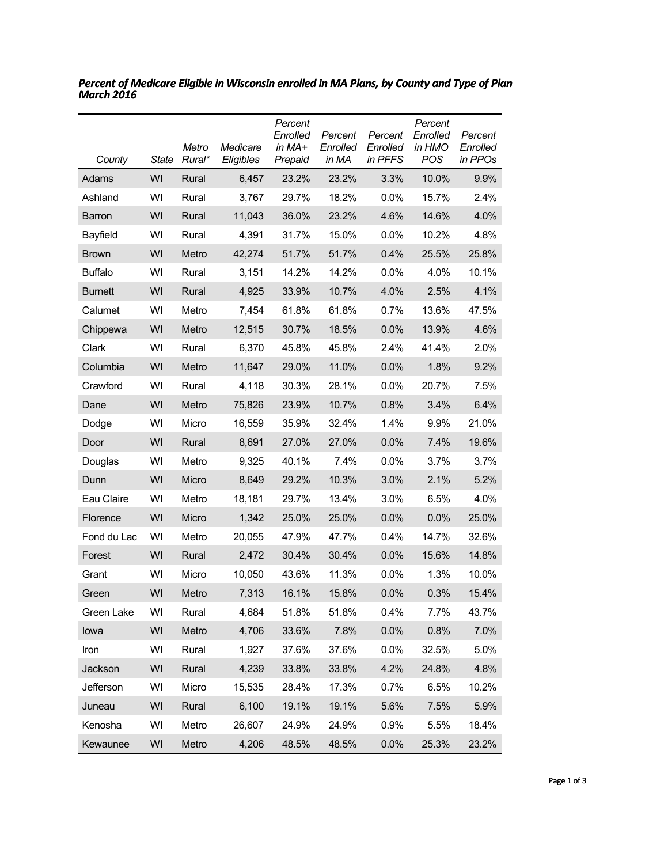| County         | <b>State</b> | Metro<br>Rural* | Medicare<br>Eligibles | Percent<br>Enrolled<br>in MA+<br>Prepaid | Percent<br>Enrolled<br>in MA | Percent<br>Enrolled<br>in PFFS | Percent<br>Enrolled<br>in HMO<br>POS | Percent<br>Enrolled<br>in PPOs |
|----------------|--------------|-----------------|-----------------------|------------------------------------------|------------------------------|--------------------------------|--------------------------------------|--------------------------------|
| Adams          | WI           | Rural           | 6,457                 | 23.2%                                    | 23.2%                        | 3.3%                           | 10.0%                                | 9.9%                           |
| Ashland        | WI           | Rural           | 3,767                 | 29.7%                                    | 18.2%                        | $0.0\%$                        | 15.7%                                | 2.4%                           |
| <b>Barron</b>  | WI           | Rural           | 11,043                | 36.0%                                    | 23.2%                        | 4.6%                           | 14.6%                                | 4.0%                           |
| Bayfield       | WI           | Rural           | 4,391                 | 31.7%                                    | 15.0%                        | 0.0%                           | 10.2%                                | 4.8%                           |
| <b>Brown</b>   | WI           | Metro           | 42,274                | 51.7%                                    | 51.7%                        | 0.4%                           | 25.5%                                | 25.8%                          |
| <b>Buffalo</b> | WI           | Rural           | 3,151                 | 14.2%                                    | 14.2%                        | $0.0\%$                        | 4.0%                                 | 10.1%                          |
| <b>Burnett</b> | WI           | Rural           | 4,925                 | 33.9%                                    | 10.7%                        | 4.0%                           | 2.5%                                 | 4.1%                           |
| Calumet        | WI           | Metro           | 7,454                 | 61.8%                                    | 61.8%                        | 0.7%                           | 13.6%                                | 47.5%                          |
| Chippewa       | WI           | Metro           | 12,515                | 30.7%                                    | 18.5%                        | 0.0%                           | 13.9%                                | 4.6%                           |
| Clark          | WI           | Rural           | 6,370                 | 45.8%                                    | 45.8%                        | 2.4%                           | 41.4%                                | 2.0%                           |
| Columbia       | WI           | Metro           | 11,647                | 29.0%                                    | 11.0%                        | $0.0\%$                        | 1.8%                                 | 9.2%                           |
| Crawford       | WI           | Rural           | 4,118                 | 30.3%                                    | 28.1%                        | 0.0%                           | 20.7%                                | 7.5%                           |
| Dane           | WI           | Metro           | 75,826                | 23.9%                                    | 10.7%                        | 0.8%                           | 3.4%                                 | 6.4%                           |
| Dodge          | WI           | Micro           | 16,559                | 35.9%                                    | 32.4%                        | 1.4%                           | 9.9%                                 | 21.0%                          |
| Door           | WI           | Rural           | 8,691                 | 27.0%                                    | 27.0%                        | 0.0%                           | 7.4%                                 | 19.6%                          |
| Douglas        | WI           | Metro           | 9,325                 | 40.1%                                    | 7.4%                         | $0.0\%$                        | 3.7%                                 | 3.7%                           |
| Dunn           | WI           | Micro           | 8,649                 | 29.2%                                    | 10.3%                        | 3.0%                           | 2.1%                                 | 5.2%                           |
| Eau Claire     | WI           | Metro           | 18,181                | 29.7%                                    | 13.4%                        | 3.0%                           | 6.5%                                 | 4.0%                           |
| Florence       | WI           | Micro           | 1,342                 | 25.0%                                    | 25.0%                        | 0.0%                           | 0.0%                                 | 25.0%                          |
| Fond du Lac    | WI           | Metro           | 20,055                | 47.9%                                    | 47.7%                        | 0.4%                           | 14.7%                                | 32.6%                          |
| Forest         | WI           | Rural           | 2,472                 | 30.4%                                    | 30.4%                        | 0.0%                           | 15.6%                                | 14.8%                          |
| Grant          | WI           | Micro           | 10,050                | 43.6%                                    | 11.3%                        | 0.0%                           | 1.3%                                 | 10.0%                          |
| Green          | WI           | Metro           | 7,313                 | 16.1%                                    | 15.8%                        | 0.0%                           | 0.3%                                 | 15.4%                          |
| Green Lake     | WI           | Rural           | 4,684                 | 51.8%                                    | 51.8%                        | 0.4%                           | 7.7%                                 | 43.7%                          |
| lowa           | WI           | Metro           | 4,706                 | 33.6%                                    | 7.8%                         | 0.0%                           | 0.8%                                 | 7.0%                           |
| Iron           | WI           | Rural           | 1,927                 | 37.6%                                    | 37.6%                        | 0.0%                           | 32.5%                                | 5.0%                           |
| Jackson        | WI           | Rural           | 4,239                 | 33.8%                                    | 33.8%                        | 4.2%                           | 24.8%                                | 4.8%                           |
| Jefferson      | WI           | Micro           | 15,535                | 28.4%                                    | 17.3%                        | 0.7%                           | 6.5%                                 | 10.2%                          |
| Juneau         | WI           | Rural           | 6,100                 | 19.1%                                    | 19.1%                        | 5.6%                           | 7.5%                                 | 5.9%                           |
| Kenosha        | WI           | Metro           | 26,607                | 24.9%                                    | 24.9%                        | 0.9%                           | 5.5%                                 | 18.4%                          |
| Kewaunee       | WI           | Metro           | 4,206                 | 48.5%                                    | 48.5%                        | 0.0%                           | 25.3%                                | 23.2%                          |

*Percent of Medicare Eligible in Wisconsin enrolled in MA Plans, by County and Type of Plan March 2016*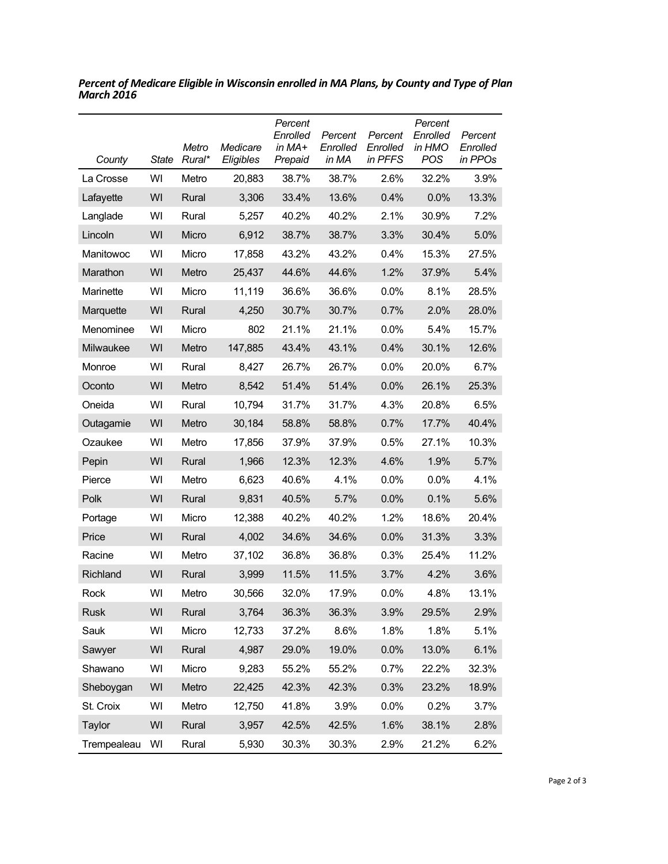| County      | <b>State</b> | Metro<br>Rural* | Medicare<br>Eligibles | Percent<br>Enrolled<br>in $MA+$<br>Prepaid | Percent<br>Enrolled<br>in MA | Percent<br>Enrolled<br>in PFFS | Percent<br>Enrolled<br>in HMO<br>POS | Percent<br>Enrolled<br>in PPOs |
|-------------|--------------|-----------------|-----------------------|--------------------------------------------|------------------------------|--------------------------------|--------------------------------------|--------------------------------|
| La Crosse   | WI           | Metro           | 20,883                | 38.7%                                      | 38.7%                        | 2.6%                           | 32.2%                                | 3.9%                           |
| Lafayette   | WI           | Rural           | 3,306                 | 33.4%                                      | 13.6%                        | 0.4%                           | 0.0%                                 | 13.3%                          |
| Langlade    | WI           | Rural           | 5,257                 | 40.2%                                      | 40.2%                        | 2.1%                           | 30.9%                                | 7.2%                           |
| Lincoln     | WI           | Micro           | 6,912                 | 38.7%                                      | 38.7%                        | 3.3%                           | 30.4%                                | 5.0%                           |
| Manitowoc   | WI           | Micro           | 17,858                | 43.2%                                      | 43.2%                        | 0.4%                           | 15.3%                                | 27.5%                          |
| Marathon    | WI           | Metro           | 25,437                | 44.6%                                      | 44.6%                        | 1.2%                           | 37.9%                                | 5.4%                           |
| Marinette   | WI           | Micro           | 11,119                | 36.6%                                      | 36.6%                        | $0.0\%$                        | 8.1%                                 | 28.5%                          |
| Marquette   | WI           | Rural           | 4,250                 | 30.7%                                      | 30.7%                        | 0.7%                           | 2.0%                                 | 28.0%                          |
| Menominee   | WI           | Micro           | 802                   | 21.1%                                      | 21.1%                        | 0.0%                           | 5.4%                                 | 15.7%                          |
| Milwaukee   | WI           | Metro           | 147,885               | 43.4%                                      | 43.1%                        | 0.4%                           | 30.1%                                | 12.6%                          |
| Monroe      | WI           | Rural           | 8.427                 | 26.7%                                      | 26.7%                        | $0.0\%$                        | 20.0%                                | 6.7%                           |
| Oconto      | WI           | Metro           | 8,542                 | 51.4%                                      | 51.4%                        | 0.0%                           | 26.1%                                | 25.3%                          |
| Oneida      | WI           | Rural           | 10,794                | 31.7%                                      | 31.7%                        | 4.3%                           | 20.8%                                | 6.5%                           |
| Outagamie   | WI           | Metro           | 30,184                | 58.8%                                      | 58.8%                        | 0.7%                           | 17.7%                                | 40.4%                          |
| Ozaukee     | WI           | Metro           | 17,856                | 37.9%                                      | 37.9%                        | 0.5%                           | 27.1%                                | 10.3%                          |
| Pepin       | WI           | Rural           | 1,966                 | 12.3%                                      | 12.3%                        | 4.6%                           | 1.9%                                 | 5.7%                           |
| Pierce      | WI           | Metro           | 6,623                 | 40.6%                                      | 4.1%                         | $0.0\%$                        | 0.0%                                 | 4.1%                           |
| Polk        | WI           | Rural           | 9,831                 | 40.5%                                      | 5.7%                         | 0.0%                           | 0.1%                                 | 5.6%                           |
| Portage     | WI           | Micro           | 12,388                | 40.2%                                      | 40.2%                        | 1.2%                           | 18.6%                                | 20.4%                          |
| Price       | WI           | Rural           | 4,002                 | 34.6%                                      | 34.6%                        | 0.0%                           | 31.3%                                | 3.3%                           |
| Racine      | WI           | Metro           | 37,102                | 36.8%                                      | 36.8%                        | 0.3%                           | 25.4%                                | 11.2%                          |
| Richland    | WI           | Rural           | 3,999                 | 11.5%                                      | 11.5%                        | 3.7%                           | 4.2%                                 | 3.6%                           |
| Rock        | WI           | Metro           | 30,566                | 32.0%                                      | 17.9%                        | 0.0%                           | 4.8%                                 | 13.1%                          |
| <b>Rusk</b> | WI           | Rural           | 3,764                 | 36.3%                                      | 36.3%                        | 3.9%                           | 29.5%                                | 2.9%                           |
| Sauk        | WI           | Micro           | 12,733                | 37.2%                                      | 8.6%                         | 1.8%                           | 1.8%                                 | 5.1%                           |
| Sawyer      | WI           | Rural           | 4,987                 | 29.0%                                      | 19.0%                        | 0.0%                           | 13.0%                                | 6.1%                           |
| Shawano     | WI           | Micro           | 9,283                 | 55.2%                                      | 55.2%                        | 0.7%                           | 22.2%                                | 32.3%                          |
| Sheboygan   | WI           | Metro           | 22,425                | 42.3%                                      | 42.3%                        | 0.3%                           | 23.2%                                | 18.9%                          |
| St. Croix   | WI           | Metro           | 12,750                | 41.8%                                      | 3.9%                         | 0.0%                           | 0.2%                                 | 3.7%                           |
| Taylor      | WI           | Rural           | 3,957                 | 42.5%                                      | 42.5%                        | 1.6%                           | 38.1%                                | 2.8%                           |
| Trempealeau | WI           | Rural           | 5,930                 | 30.3%                                      | 30.3%                        | 2.9%                           | 21.2%                                | 6.2%                           |

*Percent of Medicare Eligible in Wisconsin enrolled in MA Plans, by County and Type of Plan March 2016*